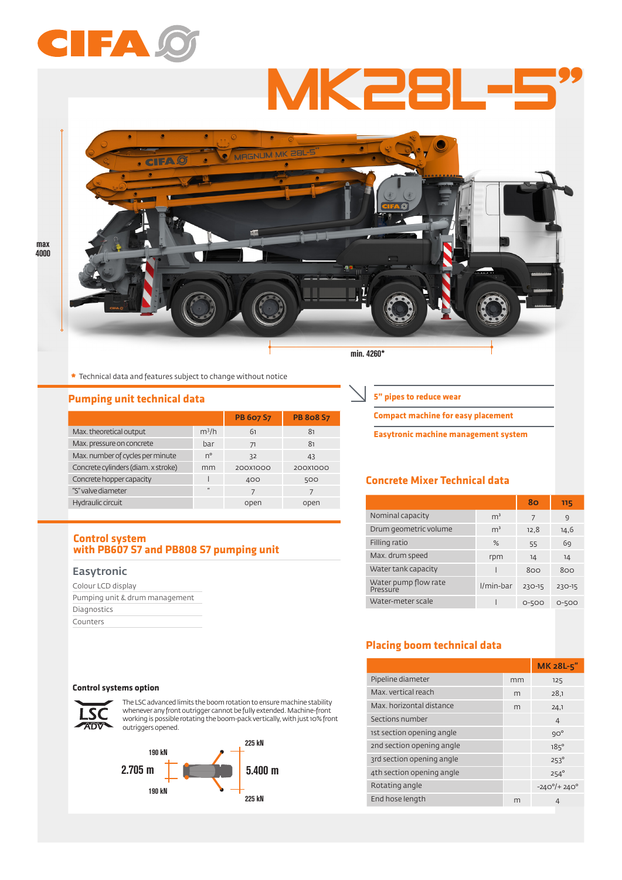# CIFA

MK28L



**\*** Technical data and features subject to change without notice

## **Pumping unit technical data**

|                                     |              | <b>PB 607 S7</b> | <b>PB 808 S7</b> |
|-------------------------------------|--------------|------------------|------------------|
| Max. theoretical output             | $m^3/h$      | 61               | 81               |
| Max. pressure on concrete           | bar          | 71               | 81               |
| Max. number of cycles per minute    | $n^{\circ}$  | 32               | 43               |
| Concrete cylinders (diam. x stroke) | mm           | 200X1000         | 200X1000         |
| Concrete hopper capacity            |              | 400              | 500              |
| "S" valve diameter                  | $\mathbf{u}$ |                  |                  |
| Hydraulic circuit                   |              | open             | open             |

#### **Control system with PB607 S7 and PB808 S7 pumping unit**

#### Easytronic

| Colour LCD display             |  |
|--------------------------------|--|
| Pumping unit & drum management |  |
| Diagnostics                    |  |
| Counters                       |  |

#### **Control systems option**



The LSC advanced limits the boom rotation to ensure machine stability whenever any front outrigger cannot be fully extended. Machine-front working is possible rotating the boom-pack vertically, with just 10% front **ADV** outriggers opened.



**5" pipes to reduce wear**

**Compact machine for easy placement**

**Easytronic machine management system**

# **Concrete Mixer Technical data**

|                                  |                | 80     | 115    |
|----------------------------------|----------------|--------|--------|
| Nominal capacity                 | m <sup>3</sup> | 7      | C)     |
| Drum geometric volume            | m <sup>3</sup> | 12,8   | 14,6   |
| Filling ratio                    | %              | 55     | 69     |
| Max. drum speed                  | rpm            | 14     | 14     |
| Water tank capacity              |                | 800    | 800    |
| Water pump flow rate<br>Pressure | I/min-bar      | 230-15 | 230-15 |
| Water-meter scale                |                | 0-500  | 0-500  |

# **Placing boom technical data**

|                           |    | MK 28L-5"                   |
|---------------------------|----|-----------------------------|
| Pipeline diameter         | mm | 125                         |
| Max vertical reach        | m  | 28,1                        |
| Max, horizontal distance  | m  | 24.1                        |
| Sections number           |    | $\overline{4}$              |
| 1st section opening angle |    | $9O^{\circ}$                |
| 2nd section opening angle |    | $185^\circ$                 |
| 3rd section opening angle |    | $253^{\circ}$               |
| 4th section opening angle |    | $254^\circ$                 |
| Rotating angle            |    | $-240^{\circ}/+240^{\circ}$ |
| End hose length           | m  | 4                           |